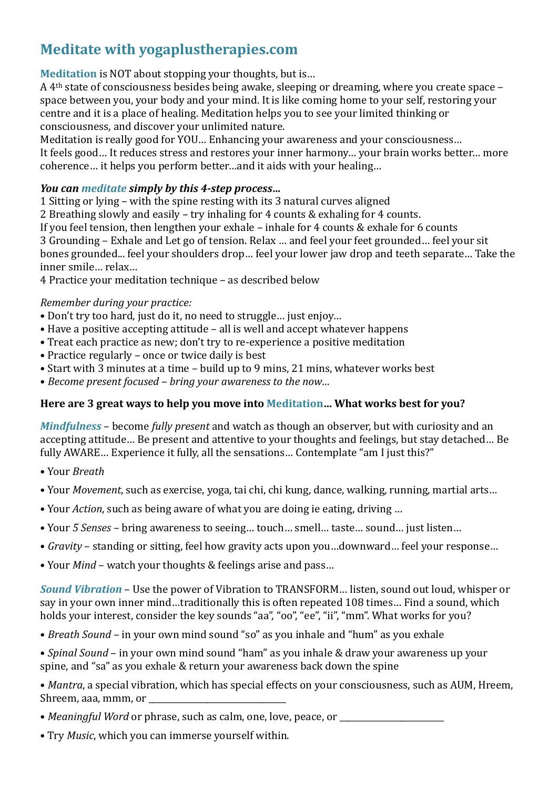## **Meditate with yogaplustherapies.com**

**Meditation** is NOT about stopping your thoughts, but is...

A 4<sup>th</sup> state of consciousness besides being awake, sleeping or dreaming, where you create space space between you, your body and your mind. It is like coming home to your self, restoring your centre and it is a place of healing. Meditation helps you to see your limited thinking or consciousness, and discover your unlimited nature.

Meditation is really good for YOU... Enhancing your awareness and your consciousness...

It feels good… It reduces stress and restores your inner harmony… your brain works better… more coherence... it helps you perform better...and it aids with your healing...

## *You can meditate simply by this 4-step process...*

1 Sitting or lying – with the spine resting with its 3 natural curves aligned

2 Breathing slowly and easily – try inhaling for 4 counts & exhaling for 4 counts.

If you feel tension, then lengthen your exhale – inhale for 4 counts & exhale for 6 counts

3 Grounding – Exhale and Let go of tension. Relax ... and feel your feet grounded... feel your sit bones grounded... feel your shoulders drop... feel your lower jaw drop and teeth separate... Take the inner smile... relax...

4 Practice your meditation technique - as described below

## *Remember during your practice:*

- Don't try too hard, just do it, no need to struggle... just enjoy...
- Have a positive accepting attitude all is well and accept whatever happens
- Treat each practice as new; don't try to re-experience a positive meditation
- Practice regularly once or twice daily is best
- Start with 3 minutes at a time build up to 9 mins, 21 mins, whatever works best
- Become present focused bring your awareness to the now...

## Here are 3 great ways to help you move into Meditation... What works best for you?

*Mindfulness* – become *fully present* and watch as though an observer, but with curiosity and an accepting attitude… Be present and attentive to your thoughts and feelings, but stay detached… Be fully AWARE... Experience it fully, all the sensations... Contemplate "am I just this?"

- • Your *Breath*
- Your *Movement*, such as exercise, yoga, tai chi, chi kung, dance, walking, running, martial arts...
- Your *Action*, such as being aware of what you are doing ie eating, driving ...
- Your 5 Senses bring awareness to seeing... touch... smell... taste... sound... just listen...
- *Gravity* standing or sitting, feel how gravity acts upon you...downward... feel your response...
- Your *Mind* watch your thoughts & feelings arise and pass...

**Sound Vibration** – Use the power of Vibration to TRANSFORM... listen, sound out loud, whisper or say in your own inner mind...traditionally this is often repeated 108 times... Find a sound, which holds your interest, consider the key sounds "aa", "oo", "ee", "ii", "mm". What works for you?

- *Breath Sound* in your own mind sound "so" as you inhale and "hum" as you exhale
- *Spinal Sound* in your own mind sound "ham" as you inhale & draw your awareness up your spine, and "sa" as you exhale & return your awareness back down the spine

• *Mantra*, a special vibration, which has special effects on your consciousness, such as AUM, Hreem, Shreem, aaa, mmm, or

- *Meaningful Word* or phrase, such as calm, one, love, peace, or \_\_\_\_\_\_\_\_\_\_\_\_\_\_\_
- Try *Music*, which you can immerse yourself within.